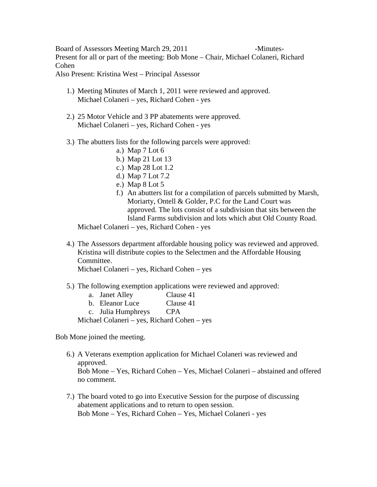Board of Assessors Meeting March 29, 2011 - Minutes-Present for all or part of the meeting: Bob Mone – Chair, Michael Colaneri, Richard Cohen

Also Present: Kristina West – Principal Assessor

- 1.) Meeting Minutes of March 1, 2011 were reviewed and approved. Michael Colaneri – yes, Richard Cohen - yes
- 2.) 25 Motor Vehicle and 3 PP abatements were approved. Michael Colaneri – yes, Richard Cohen - yes
- 3.) The abutters lists for the following parcels were approved:
	- a.) Map 7 Lot 6
	- b.) Map 21 Lot 13
	- c.) Map 28 Lot 1.2
	- d.) Map 7 Lot 7.2
	- e.) Map 8 Lot 5
	- f.) An abutters list for a compilation of parcels submitted by Marsh, Moriarty, Ontell & Golder, P.C for the Land Court was approved. The lots consist of a subdivision that sits between the Island Farms subdivision and lots which abut Old County Road.

Michael Colaneri – yes, Richard Cohen - yes

4.) The Assessors department affordable housing policy was reviewed and approved. Kristina will distribute copies to the Selectmen and the Affordable Housing Committee.

Michael Colaneri – yes, Richard Cohen – yes

5.) The following exemption applications were reviewed and approved:

| a. | . Janet Alley | Clause 41 |
|----|---------------|-----------|
|    |               |           |

- b. Eleanor Luce Clause 41
- c. Julia Humphreys CPA

Michael Colaneri – yes, Richard Cohen – yes

Bob Mone joined the meeting.

- 6.) A Veterans exemption application for Michael Colaneri was reviewed and approved. Bob Mone – Yes, Richard Cohen – Yes, Michael Colaneri – abstained and offered no comment.
- 7.) The board voted to go into Executive Session for the purpose of discussing abatement applications and to return to open session. Bob Mone – Yes, Richard Cohen – Yes, Michael Colaneri - yes